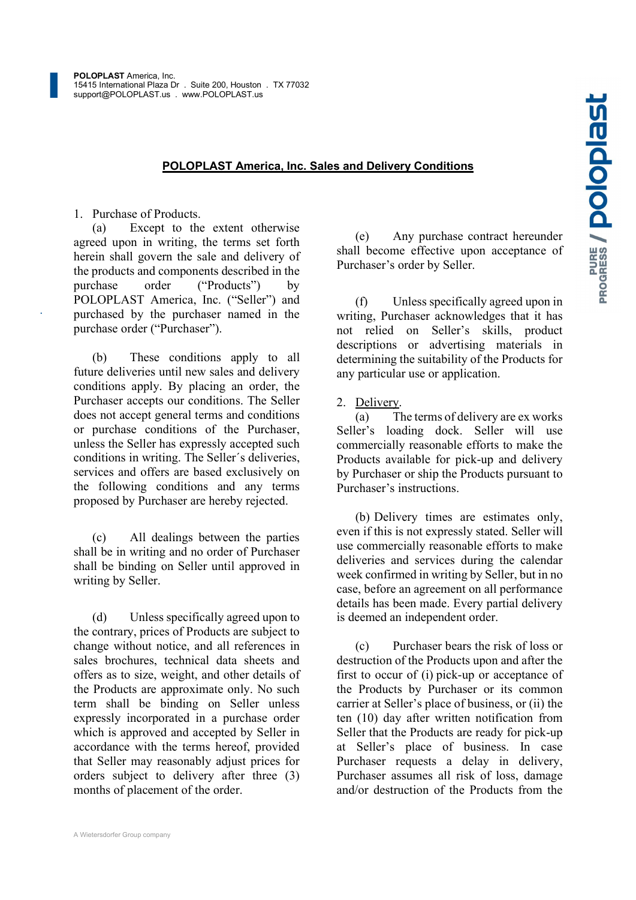1. Purchase of Products.

POLOPLAST America, Inc. Sales and Delivery Conditions<br>
roducts.<br>
t to the extent otherwise<br>
writing, the terms set forth<br>
rn the sale and delivery of<br>
emponents described in the<br>
emponents described in the<br>
emponents ("Pro (a) Except to the extent otherwise agreed upon in writing, the terms set forth herein shall govern the sale and delivery of the products and components described in the purchase order ("Products") by POLOPLAST America, Inc. ("Seller") and purchased by the purchaser named in the purchase order ("Purchaser").

(b) These conditions apply to all future deliveries until new sales and delivery conditions apply. By placing an order, the Purchaser accepts our conditions. The Seller does not accept general terms and conditions or purchase conditions of the Purchaser, unless the Seller has expressly accepted such conditions in writing. The Seller´s deliveries, services and offers are based exclusively on the following conditions and any terms proposed by Purchaser are hereby rejected.

(c) All dealings between the parties shall be in writing and no order of Purchaser shall be binding on Seller until approved in writing by Seller.

(d) Unless specifically agreed upon to the contrary, prices of Products are subject to change without notice, and all references in sales brochures, technical data sheets and offers as to size, weight, and other details of the Products are approximate only. No such term shall be binding on Seller unless expressly incorporated in a purchase order which is approved and accepted by Seller in accordance with the terms hereof, provided that Seller may reasonably adjust prices for orders subject to delivery after three (3) months of placement of the order.

Any purchase contract hereunder shall become effective upon acceptance of Purchaser's order by Seller.

Unless specifically agreed upon in writing, Purchaser acknowledges that it has not relied on Seller's skills, product descriptions or advertising materials in determining the suitability of the Products for any particular use or application.

### 2. Delivery.

The terms of delivery are ex works Seller's loading dock. Seller will use commercially reasonable efforts to make the Products available for pick-up and delivery by Purchaser or ship the Products pursuant to Purchaser's instructions.

(b) Delivery times are estimates only, even if this is not expressly stated. Seller will use commercially reasonable efforts to make deliveries and services during the calendar week confirmed in writing by Seller, but in no case, before an agreement on all performance details has been made. Every partial delivery is deemed an independent order.

Purchaser bears the risk of loss or destruction of the Products upon and after the first to occur of (i) pick-up or acceptance of the Products by Purchaser or its common carrier at Seller's place of business, or (ii) the ten (10) day after written notification from Seller that the Products are ready for pick-up at Seller's place of business. In case Purchaser requests a delay in delivery, Purchaser assumes all risk of loss, damage and/or destruction of the Products from the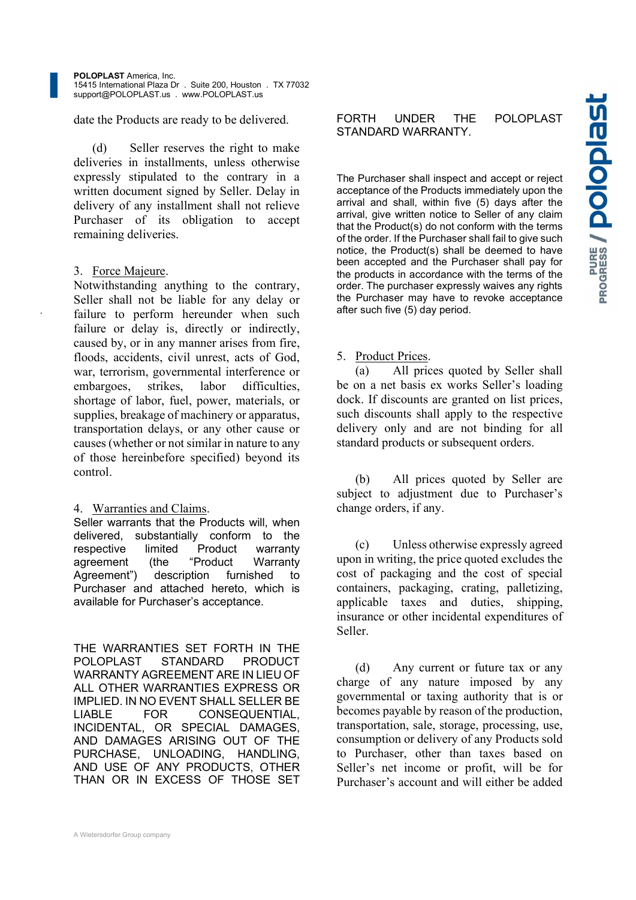date the Products are ready to be delivered. FORTH

(d) Seller reserves the right to make deliveries in installments, unless otherwise expressly stipulated to the contrary in a written document signed by Seller. Delay in delivery of any installment shall not relieve Purchaser of its obligation to accept remaining deliveries.

## 3. Force Majeure.

Notwithstanding anything to the contrary, Seller shall not be liable for any delay or failure to perform hereunder when such failure or delay is, directly or indirectly, caused by, or in any manner arises from fire, floods, accidents, civil unrest, acts of God, war, terrorism, governmental interference or (a) embargoes, strikes, labor difficulties, shortage of labor, fuel, power, materials, or supplies, breakage of machinery or apparatus, transportation delays, or any other cause or causes (whether or not similar in nature to any of those hereinbefore specified) beyond its control.

# 4. Warranties and Claims.

Seller warrants that the Products will, when delivered, substantially conform to the<br>reconoctive limited Broduct werrenty (c) respective limited Product warranty agreement (the "Product Warranty Agreement") description furnished to Purchaser and attached hereto, which is available for Purchaser's acceptance.

 THE WARRANTIES SET FORTH IN THE POLOPLAST STANDARD PRODUCT (d) WARRANTY AGREEMENT ARE IN LIEU OF ALL OTHER WARRANTIES EXPRESS OR IMPLIED. IN NO EVENT SHALL SELLER BE LIABLE FOR CONSEQUENTIAL, INCIDENTAL, OR SPECIAL DAMAGES, AND DAMAGES ARISING OUT OF THE PURCHASE, UNLOADING, HANDLING, AND USE OF ANY PRODUCTS, OTHER THAN OR IN EXCESS OF THOSE SET

UNDER THE POLOPLAST<br>
D WARRANTY.<br>
Ser shall inspect and accept or reject<br>
of the Products immediately upon the<br>
shall, within five (5) days after the<br>
written notice to Seller of any claim<br>
duct(s) do not conform with the The Purchaser shall inspect and accept or reject acceptance of the Products immediately upon the arrival and shall, within five (5) days after the arrival, give written notice to Seller of any claim that the Product(s) do not conform with the terms of the order. If the Purchaser shall fail to give such notice, the Product(s) shall be deemed to have been accepted and the Purchaser shall pay for the products in accordance with the terms of the order. The purchaser expressly waives any rights the Purchaser may have to revoke acceptance after such five (5) day period.

### 5. Product Prices.

All prices quoted by Seller shall be on a net basis ex works Seller's loading dock. If discounts are granted on list prices, such discounts shall apply to the respective delivery only and are not binding for all standard products or subsequent orders.

(b) All prices quoted by Seller are subject to adjustment due to Purchaser's change orders, if any.

Unless otherwise expressly agreed upon in writing, the price quoted excludes the cost of packaging and the cost of special containers, packaging, crating, palletizing, applicable taxes and duties, shipping, insurance or other incidental expenditures of Seller.

Any current or future tax or any charge of any nature imposed by any governmental or taxing authority that is or becomes payable by reason of the production, transportation, sale, storage, processing, use, consumption or delivery of any Products sold to Purchaser, other than taxes based on Seller's net income or profit, will be for Purchaser's account and will either be added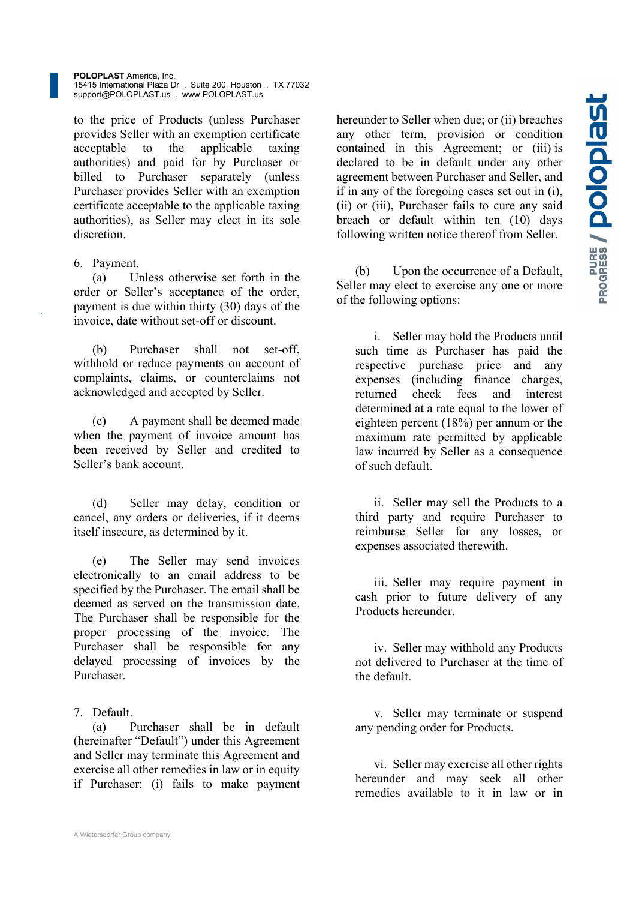POLOPLAST America, Inc. 15415 International Plaza Dr . Suite 200, Houston . TX 77032 support@POLOPLAST.us . www.POLOPLAST.us

to the price of Products (unless Purchaser provides Seller with an exemption certificate acceptable to the applicable taxing authorities) and paid for by Purchaser or billed to Purchaser separately (unless Purchaser provides Seller with an exemption certificate acceptable to the applicable taxing authorities), as Seller may elect in its sole discretion.

#### 6. Payment.

 $\frac{1}{a}$  Unless otherwise set forth in the  $\qquad$  (b) order or Seller's acceptance of the order, payment is due within thirty (30) days of the invoice, date without set-off or discount.

(b) Purchaser shall not set-off, withhold or reduce payments on account of complaints, claims, or counterclaims not acknowledged and accepted by Seller.

(c) A payment shall be deemed made when the payment of invoice amount has been received by Seller and credited to Seller's bank account.

(d) Seller may delay, condition or cancel, any orders or deliveries, if it deems itself insecure, as determined by it.

(e) The Seller may send invoices electronically to an email address to be specified by the Purchaser. The email shall be deemed as served on the transmission date. The Purchaser shall be responsible for the proper processing of the invoice. The Purchaser shall be responsible for any delayed processing of invoices by the Purchaser.

#### 7. Default.

(a) Purchaser shall be in default (hereinafter "Default") under this Agreement and Seller may terminate this Agreement and exercise all other remedies in law or in equity if Purchaser: (i) fails to make payment hereunder to Seller when due; or (ii) breaches<br>any other term, provision or condition<br>contained in this Agreement; or (iii) is<br>declared to be in default under any other<br>agreement between Purchaser and Seller, and<br>if in any any other term, provision or condition contained in this Agreement; or (iii) is declared to be in default under any other agreement between Purchaser and Seller, and if in any of the foregoing cases set out in (i), (ii) or (iii), Purchaser fails to cure any said breach or default within ten (10) days following written notice thereof from Seller.

Upon the occurrence of a Default, Seller may elect to exercise any one or more of the following options:

i. Seller may hold the Products until such time as Purchaser has paid the respective purchase price and any expenses (including finance charges, returned check fees and interest determined at a rate equal to the lower of eighteen percent (18%) per annum or the maximum rate permitted by applicable law incurred by Seller as a consequence of such default.

ii. Seller may sell the Products to a third party and require Purchaser to reimburse Seller for any losses, or expenses associated therewith.

iii. Seller may require payment in cash prior to future delivery of any Products hereunder.

iv. Seller may withhold any Products not delivered to Purchaser at the time of the default.

v. Seller may terminate or suspend any pending order for Products.

vi. Seller may exercise all other rights hereunder and may seek all other remedies available to it in law or in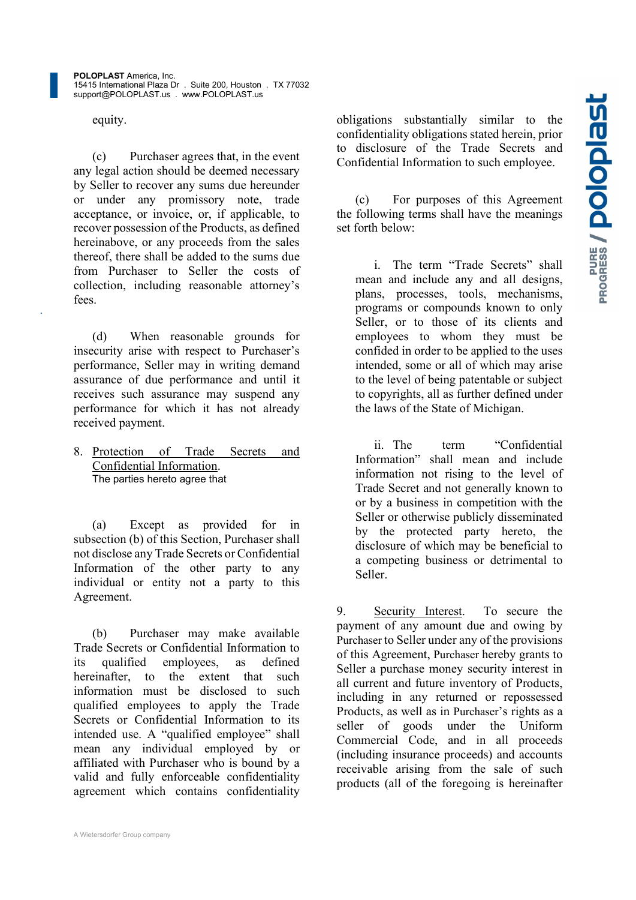equity.

(c) Purchaser agrees that, in the event any legal action should be deemed necessary by Seller to recover any sums due hereunder or under any promissory note, trade acceptance, or invoice, or, if applicable, to recover possession of the Products, as defined hereinabove, or any proceeds from the sales thereof, there shall be added to the sums due from Purchaser to Seller the costs of collection, including reasonable attorney's fees.

(d) When reasonable grounds for insecurity arise with respect to Purchaser's performance, Seller may in writing demand assurance of due performance and until it receives such assurance may suspend any performance for which it has not already received payment.

8. Protection of Trade Secrets and Confidential Information. The parties hereto agree that

(a) Except as provided for in subsection (b) of this Section, Purchaser shall not disclose any Trade Secrets or Confidential Information of the other party to any individual or entity not a party to this Agreement.

(b) Purchaser may make available Trade Secrets or Confidential Information to its qualified employees, as defined hereinafter, to the extent that such information must be disclosed to such qualified employees to apply the Trade Secrets or Confidential Information to its<br>seller of intended use. A "qualified employee" shall mean any individual employed by or affiliated with Purchaser who is bound by a valid and fully enforceable confidentiality agreement which contains confidentiality

A Wietersdorfer Group company

obligations substantially similar to the<br>confidentiality obligations stated herein, prior<br>to disclosure of the Trade Secrets and<br>Confidential Information to such employee.<br>(c) For purposes of this Agreement<br>the following t confidentiality obligations stated herein, prior to disclosure of the Trade Secrets and Confidential Information to such employee.

For purposes of this Agreement the following terms shall have the meanings set forth below:

i. The term "Trade Secrets" shall mean and include any and all designs, plans, processes, tools, mechanisms, programs or compounds known to only Seller, or to those of its clients and employees to whom they must be confided in order to be applied to the uses intended, some or all of which may arise to the level of being patentable or subject to copyrights, all as further defined under the laws of the State of Michigan.

term "Confidential Information" shall mean and include information not rising to the level of Trade Secret and not generally known to or by a business in competition with the Seller or otherwise publicly disseminated by the protected party hereto, the disclosure of which may be beneficial to a competing business or detrimental to Seller.

9. Security Interest. To secure the payment of any amount due and owing by Purchaser to Seller under any of the provisions of this Agreement, Purchaser hereby grants to Seller a purchase money security interest in all current and future inventory of Products, including in any returned or repossessed Products, as well as in Purchaser's rights as a goods under the Uniform Commercial Code, and in all proceeds (including insurance proceeds) and accounts receivable arising from the sale of such products (all of the foregoing is hereinafter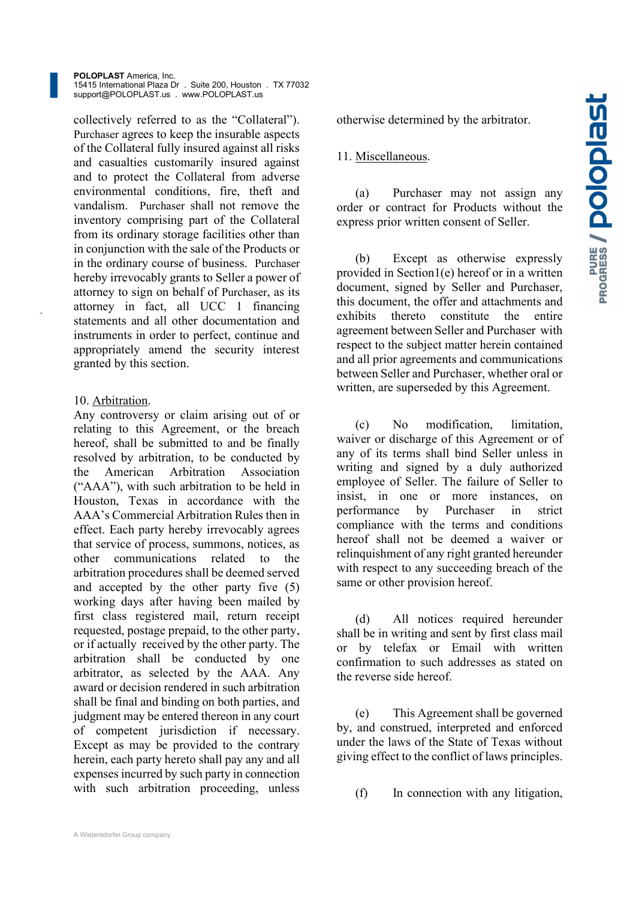POLOPLAST America, Inc. 15415 International Plaza Dr . Suite 200, Houston . TX 77032 support@POLOPLAST.us . www.POLOPLAST.us

collectively referred to as the "Collateral"). Purchaser agrees to keep the insurable aspects of the Collateral fully insured against all risks and casualties customarily insured against and to protect the Collateral from adverse environmental conditions, fire, theft and vandalism. Purchaser shall not remove the inventory comprising part of the Collateral from its ordinary storage facilities other than in conjunction with the sale of the Products or in the ordinary course of business. Purchaser hereby irrevocably grants to Seller a power of attorney to sign on behalf of Purchaser, as its attorney in fact, all UCC 1 financing this documents of the text of the state of the text of the state of the text of the state of the state of the state of the state of the state of the state of the state of the state of statements and all other documentation and instruments in order to perfect, continue and appropriately amend the security interest granted by this section.

## 10. Arbitration.

Any controversy or claim arising out of or<br>
relating to this Agreement on the broad relating to this Agreement, or the breach hereof, shall be submitted to and be finally resolved by arbitration, to be conducted by the American Arbitration Association ("AAA"), with such arbitration to be held in Houston, Texas in accordance with the AAA's Commercial Arbitration Rules then in effect. Each party hereby irrevocably agrees that service of process, summons, notices, as other communications related to the arbitration procedures shall be deemed served and accepted by the other party five (5) working days after having been mailed by first class registered mail, return receipt requested, postage prepaid, to the other party, or if actually received by the other party. The arbitration shall be conducted by one arbitrator, as selected by the AAA. Any award or decision rendered in such arbitration shall be final and binding on both parties, and judgment may be entered thereon in any court of competent jurisdiction if necessary. Except as may be provided to the contrary herein, each party hereto shall pay any and all expenses incurred by such party in connection with such arbitration proceeding, unless (f)

# 11. Miscellaneous.

Purchaser may not assign any order or contract for Products without the express prior written consent of Seller.

otherwise determined by the arbitrator.<br>
11. <u>Miscellaneous</u>.<br>
(a) Purchaser may not assign any<br>
order or contract for Products without the<br>
express prior written consent of Seller.<br>
(b) Except as otherwise expressly<br>
prov Except as otherwise expressly provided in Section1(e) hereof or in a written document, signed by Seller and Purchaser, this document, the offer and attachments and thereto constitute the entire agreement between Seller and Purchaser with respect to the subject matter herein contained and all prior agreements and communications between Seller and Purchaser, whether oral or written, are superseded by this Agreement.

No modification, limitation, waiver or discharge of this Agreement or of any of its terms shall bind Seller unless in writing and signed by a duly authorized employee of Seller. The failure of Seller to insist, in one or more instances, on performance by Purchaser in strict compliance with the terms and conditions hereof shall not be deemed a waiver or relinquishment of any right granted hereunder with respect to any succeeding breach of the same or other provision hereof.

All notices required hereunder shall be in writing and sent by first class mail or by telefax or Email with written confirmation to such addresses as stated on the reverse side hereof.

This Agreement shall be governed by, and construed, interpreted and enforced under the laws of the State of Texas without giving effect to the conflict of laws principles.

In connection with any litigation,